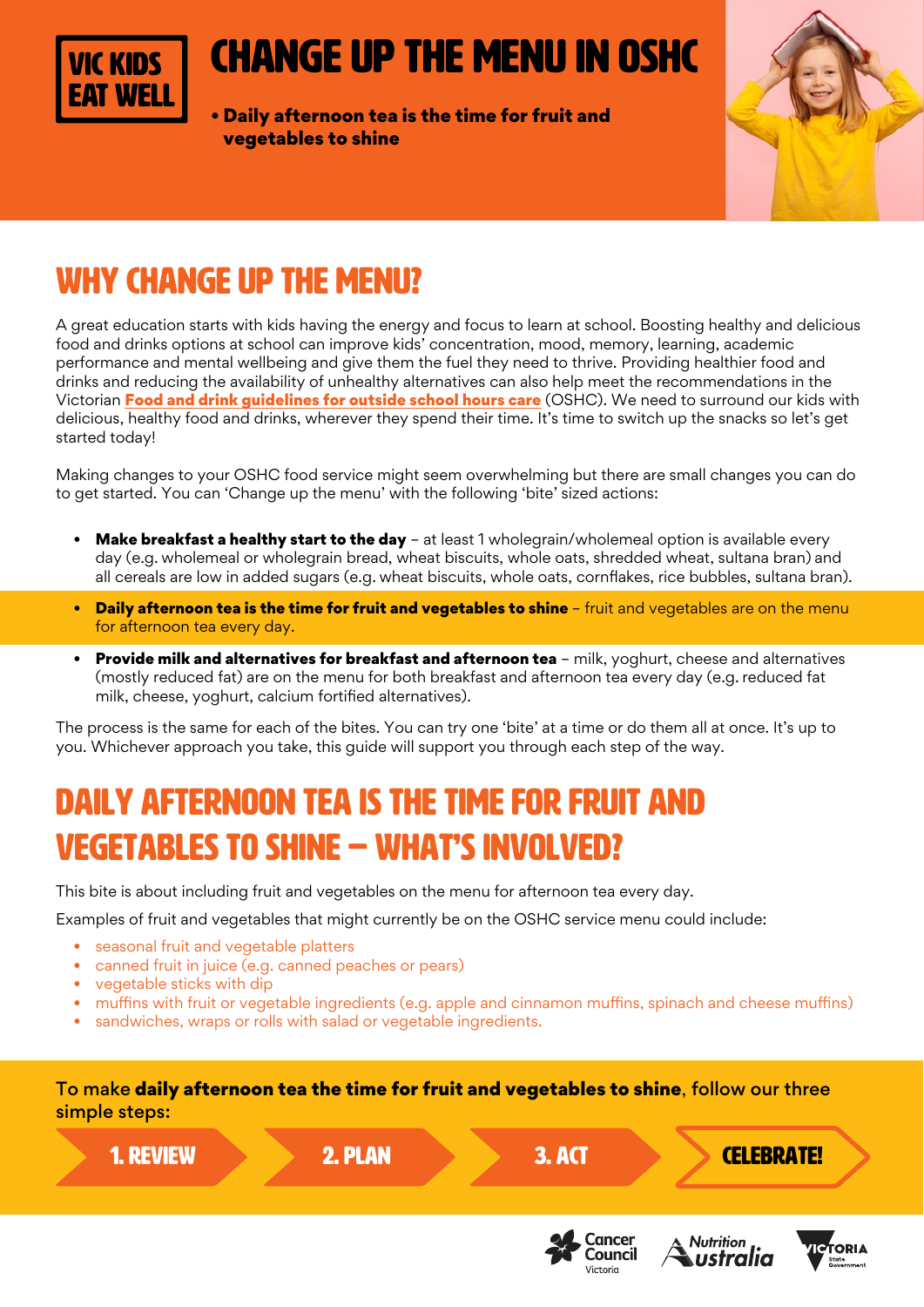

# change up the menu in oshc

• Daily afternoon tea is the time for fruit and vegetables to shine



## WHY change up the menu?

A great education starts with kids having the energy and focus to learn at school. Boosting healthy and delicious food and drinks options at school can improve kids' concentration, mood, memory, learning, academic performance and mental wellbeing and give them the fuel they need to thrive. Providing healthier food and drinks and reducing the availability of unhealthy alternatives can also help meet the recommendations in the Victorian [Food and drink guidelines for outside school hours care](https://heas.health.vic.gov.au/early-childhood-services/menu-planning/OSHC/guidelines) (OSHC). We need to surround our kids with delicious, healthy food and drinks, wherever they spend their time. It's time to switch up the snacks so let's get started today!

Making changes to your OSHC food service might seem overwhelming but there are small changes you can do to get started. You can 'Change up the menu' with the following 'bite' sized actions:

- **Make breakfast a healthy start to the day** at least 1 wholegrain/wholemeal option is available every day (e.g. wholemeal or wholegrain bread, wheat biscuits, whole oats, shredded wheat, sultana bran) and all cereals are low in added sugars (e.g. wheat biscuits, whole oats, cornflakes, rice bubbles, sultana bran).
- Daily afternoon tea is the time for fruit and vegetables to shine fruit and vegetables are on the menu for afternoon tea every day.
- **Provide milk and alternatives for breakfast and afternoon tea** milk, yoghurt, cheese and alternatives (mostly reduced fat) are on the menu for both breakfast and afternoon tea every day (e.g. reduced fat milk, cheese, yoghurt, calcium fortified alternatives).

The process is the same for each of the bites. You can try one 'bite' at a time or do them all at once. It's up to you. Whichever approach you take, this guide will support you through each step of the way.

## Daily afternoon tea is the time for fruit and vegetables to shine – WHAT'S INVOLVED?

This bite is about including fruit and vegetables on the menu for afternoon tea every day.

Examples of fruit and vegetables that might currently be on the OSHC service menu could include:

- seasonal fruit and vegetable platters
- canned fruit in juice (e.g. canned peaches or pears)
- vegetable sticks with dip
- muffins with fruit or vegetable ingredients (e.g. apple and cinnamon muffins, spinach and cheese muffins)
- sandwiches, wraps or rolls with salad or vegetable ingredients.

To make daily afternoon tea the time for fruit and vegetables to shine, follow our three simple steps:



Council

Victoria

ustralia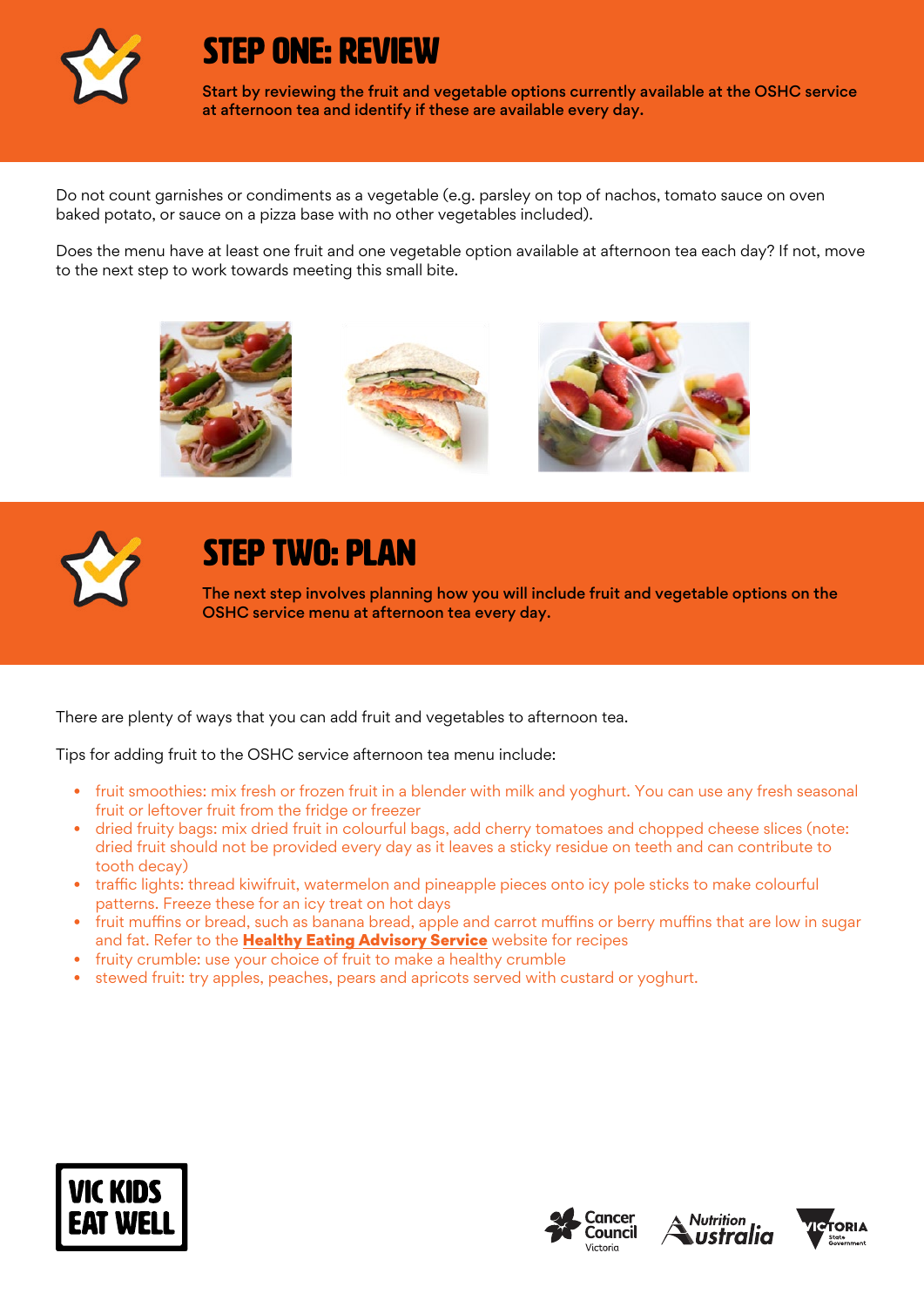

### STEP ONE: REVIEW

Start by reviewing the fruit and vegetable options currently available at the OSHC service at afternoon tea and identify if these are available every day.

Do not count garnishes or condiments as a vegetable (e.g. parsley on top of nachos, tomato sauce on oven baked potato, or sauce on a pizza base with no other vegetables included).

Does the menu have at least one fruit and one vegetable option available at afternoon tea each day? If not, move to the next step to work towards meeting this small bite.





### STEP TWO: PLAN

The next step involves planning how you will include fruit and vegetable options on the OSHC service menu at afternoon tea every day.

There are plenty of ways that you can add fruit and vegetables to afternoon tea.

Tips for adding fruit to the OSHC service afternoon tea menu include:

- fruit smoothies: mix fresh or frozen fruit in a blender with milk and yoghurt. You can use any fresh seasonal fruit or leftover fruit from the fridge or freezer
- dried fruity bags: mix dried fruit in colourful bags, add cherry tomatoes and chopped cheese slices (note: dried fruit should not be provided every day as it leaves a sticky residue on teeth and can contribute to tooth decay)
- traffic lights: thread kiwifruit, watermelon and pineapple pieces onto icy pole sticks to make colourful patterns. Freeze these for an icy treat on hot days
- fruit muffins or bread, such as banana bread, apple and carrot muffins or berry muffins that are low in sugar and fat. Refer to the **[Healthy Eating Advisory Service](https://heas.health.vic.gov.au/early-childhood-services/recipes)** website for recipes
- fruity crumble: use your choice of fruit to make a healthy crumble
- stewed fruit: try apples, peaches, pears and apricots served with custard or yoghurt.







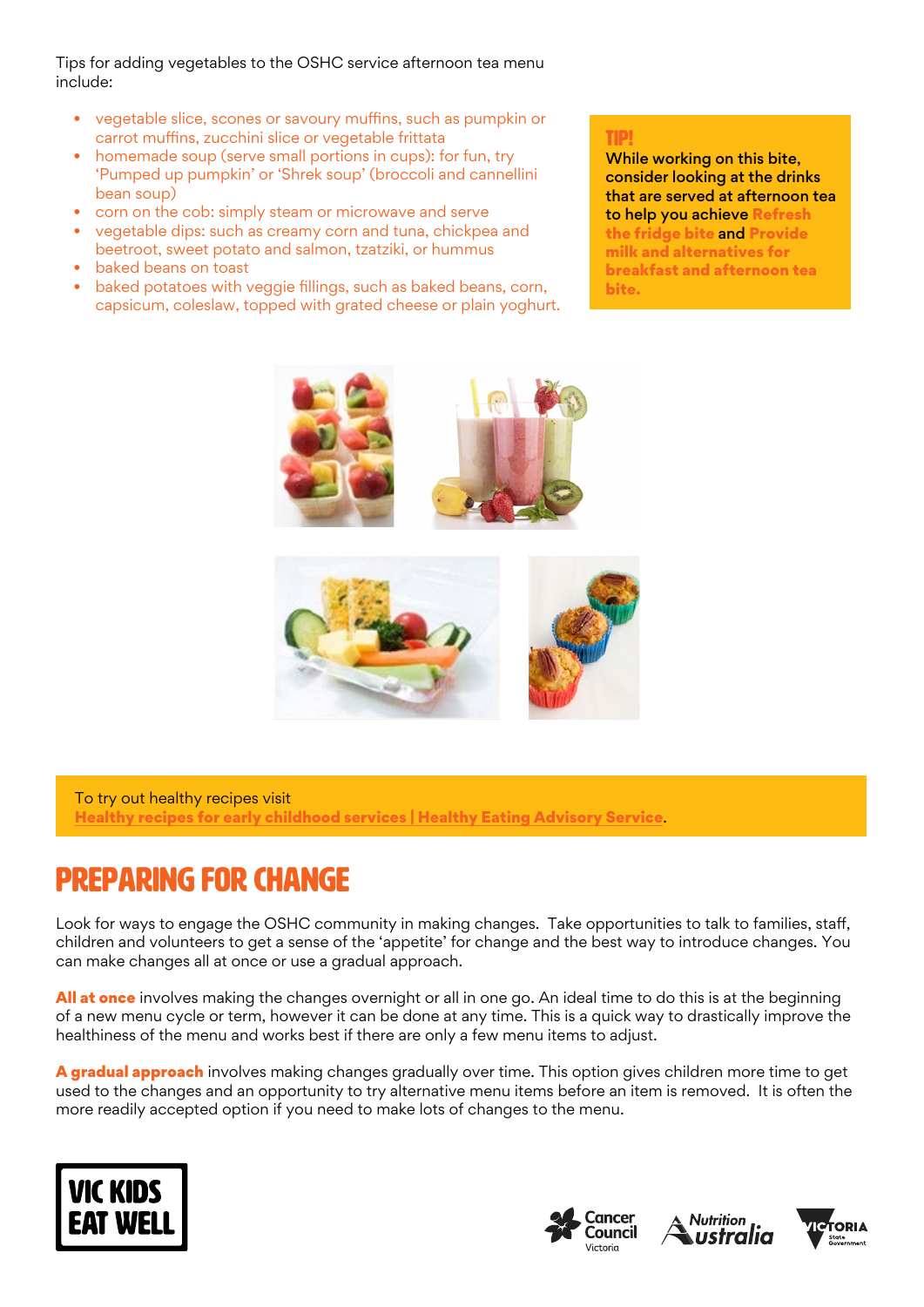Tips for adding vegetables to the OSHC service afternoon tea menu include:

- vegetable slice, scones or savoury muffins, such as pumpkin or carrot muffins, zucchini slice or vegetable frittata
- homemade soup (serve small portions in cups): for fun, try 'Pumped up pumpkin' or 'Shrek soup' (broccoli and cannellini bean soup)
- corn on the cob: simply steam or microwave and serve
- vegetable dips: such as creamy corn and tuna, chickpea and beetroot, sweet potato and salmon, tzatziki, or hummus
- baked beans on toast
- baked potatoes with veggie fillings, such as baked beans, corn, capsicum, coleslaw, topped with grated cheese or plain yoghurt.

#### TIP!

While working on this bite, consider looking at the drinks that are served at afternoon tea to help you achieve Refresh the fridge bite and Provide milk and alternatives for breakfast and afternoon tea bite.



To try out healthy recipes visit [Healthy recipes for early childhood services | Healthy Eating Advisory Service](https://heas.health.vic.gov.au/early-childhood-services/recipes).

## Preparing for change

Look for ways to engage the OSHC community in making changes. Take opportunities to talk to families, staff, children and volunteers to get a sense of the 'appetite' for change and the best way to introduce changes. You can make changes all at once or use a gradual approach.

All at once involves making the changes overnight or all in one go. An ideal time to do this is at the beginning of a new menu cycle or term, however it can be done at any time. This is a quick way to drastically improve the healthiness of the menu and works best if there are only a few menu items to adjust.

A gradual approach involves making changes gradually over time. This option gives children more time to get used to the changes and an opportunity to try alternative menu items before an item is removed. It is often the more readily accepted option if you need to make lots of changes to the menu.







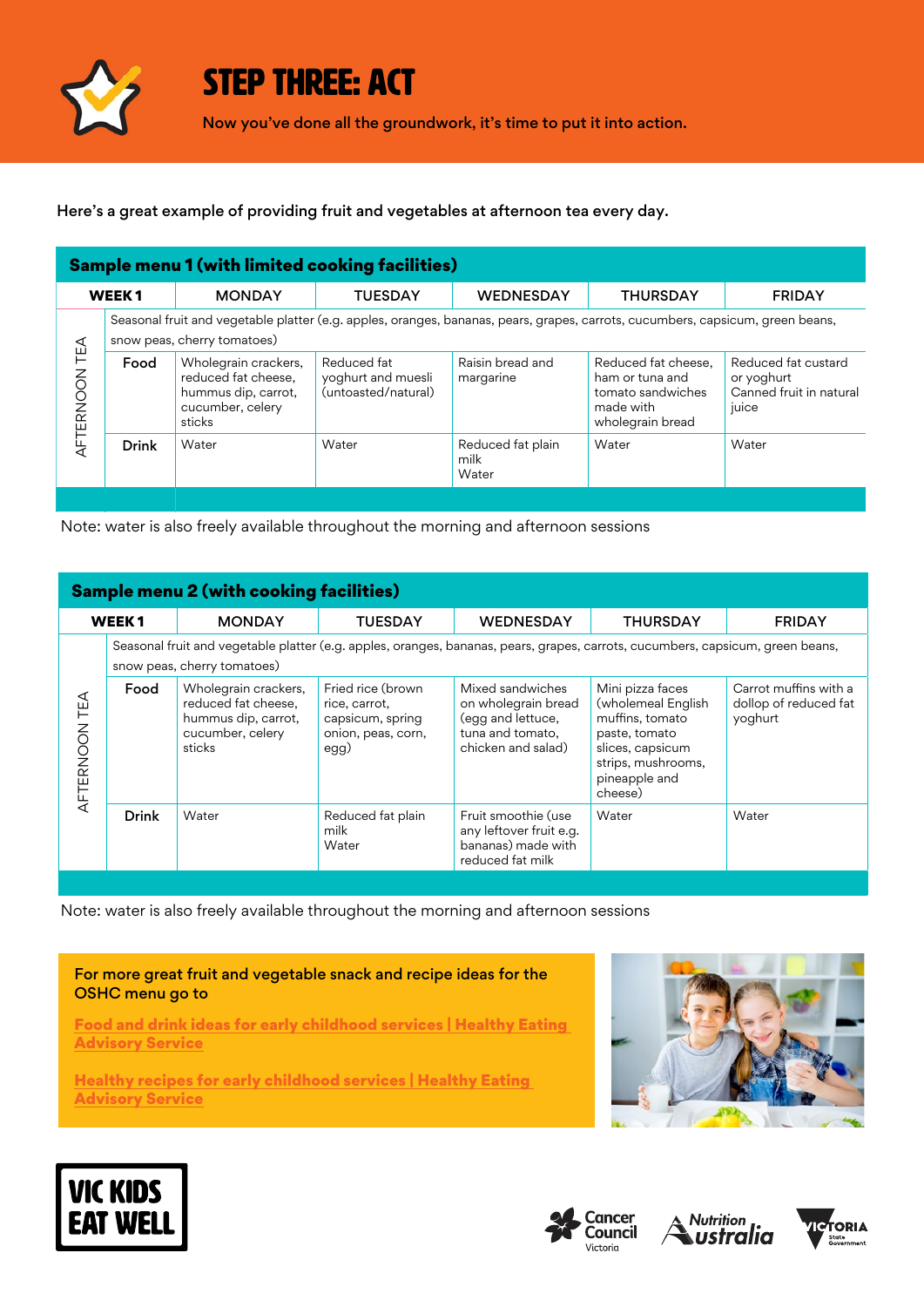

### STEP THREE: ACT

Now you've done all the groundwork, it's time to put it into action.

Here's a great example of providing fruit and vegetables at afternoon tea every day.

| <b>Sample menu 1 (with limited cooking facilities)</b> |                                                                                                                                                               |                                                                                                  |                                                          |                                    |                                                                                              |                                                                       |  |  |  |
|--------------------------------------------------------|---------------------------------------------------------------------------------------------------------------------------------------------------------------|--------------------------------------------------------------------------------------------------|----------------------------------------------------------|------------------------------------|----------------------------------------------------------------------------------------------|-----------------------------------------------------------------------|--|--|--|
| <b>WEEK1</b>                                           |                                                                                                                                                               | <b>MONDAY</b>                                                                                    | <b>TUESDAY</b>                                           | <b>WEDNESDAY</b>                   | <b>THURSDAY</b>                                                                              | <b>FRIDAY</b>                                                         |  |  |  |
| TEA<br>AFTERNOON                                       | Seasonal fruit and vegetable platter (e.g. apples, oranges, bananas, pears, grapes, carrots, cucumbers, capsicum, green beans,<br>snow peas, cherry tomatoes) |                                                                                                  |                                                          |                                    |                                                                                              |                                                                       |  |  |  |
|                                                        | Food                                                                                                                                                          | Wholegrain crackers,<br>reduced fat cheese.<br>hummus dip, carrot,<br>cucumber, celery<br>sticks | Reduced fat<br>yoghurt and muesli<br>(untoasted/natural) | Raisin bread and<br>margarine      | Reduced fat cheese,<br>ham or tuna and<br>tomato sandwiches<br>made with<br>wholegrain bread | Reduced fat custard<br>or yoghurt<br>Canned fruit in natural<br>juice |  |  |  |
|                                                        | <b>Drink</b>                                                                                                                                                  | Water                                                                                            | Water                                                    | Reduced fat plain<br>milk<br>Water | Water                                                                                        | Water                                                                 |  |  |  |
|                                                        |                                                                                                                                                               |                                                                                                  |                                                          |                                    |                                                                                              |                                                                       |  |  |  |

Note: water is also freely available throughout the morning and afternoon sessions

| <b>Sample menu 2 (with cooking facilities)</b> |                                                                                                                                                               |                                                                                                  |                                                                                      |                                                                                                        |                                                                                                                                                  |                                                           |  |  |  |
|------------------------------------------------|---------------------------------------------------------------------------------------------------------------------------------------------------------------|--------------------------------------------------------------------------------------------------|--------------------------------------------------------------------------------------|--------------------------------------------------------------------------------------------------------|--------------------------------------------------------------------------------------------------------------------------------------------------|-----------------------------------------------------------|--|--|--|
| WEEK <sub>1</sub>                              |                                                                                                                                                               | <b>MONDAY</b>                                                                                    | <b>TUESDAY</b>                                                                       | <b>WEDNESDAY</b>                                                                                       | <b>THURSDAY</b>                                                                                                                                  | <b>FRIDAY</b>                                             |  |  |  |
| TEA<br>AFTERNOON                               | Seasonal fruit and vegetable platter (e.g. apples, oranges, bananas, pears, grapes, carrots, cucumbers, capsicum, green beans,<br>snow peas, cherry tomatoes) |                                                                                                  |                                                                                      |                                                                                                        |                                                                                                                                                  |                                                           |  |  |  |
|                                                | Food                                                                                                                                                          | Wholegrain crackers,<br>reduced fat cheese.<br>hummus dip, carrot,<br>cucumber, celery<br>sticks | Fried rice (brown<br>rice, carrot,<br>capsicum, spring<br>onion, peas, corn,<br>egg) | Mixed sandwiches<br>on wholegrain bread<br>(egg and lettuce,<br>tuna and tomato,<br>chicken and salad) | Mini pizza faces<br>(wholemeal English<br>muffins, tomato<br>paste, tomato<br>slices, capsicum<br>strips, mushrooms,<br>pineapple and<br>cheese) | Carrot muffins with a<br>dollop of reduced fat<br>yoghurt |  |  |  |
|                                                | <b>Drink</b>                                                                                                                                                  | Water                                                                                            | Reduced fat plain<br>milk<br>Water                                                   | Fruit smoothie (use<br>any leftover fruit e.g.<br>bananas) made with<br>reduced fat milk               | Water                                                                                                                                            | Water                                                     |  |  |  |

Note: water is also freely available throughout the morning and afternoon sessions

For more great fruit and vegetable snack and recipe ideas for the OSHC menu go to

[Food and drink ideas for early childhood services | Healthy Eating](http://heas.health.vic.gov.au/early-childhood-services/food-drink-ideas)  **[Advisory Service](http://heas.health.vic.gov.au/early-childhood-services/food-drink-ideas)** 

[Healthy recipes for early childhood services | Healthy Eating](http://heas.health.vic.gov.au/early-childhood-services/recipes)  **[Advisory Service](http://heas.health.vic.gov.au/early-childhood-services/recipes)** 









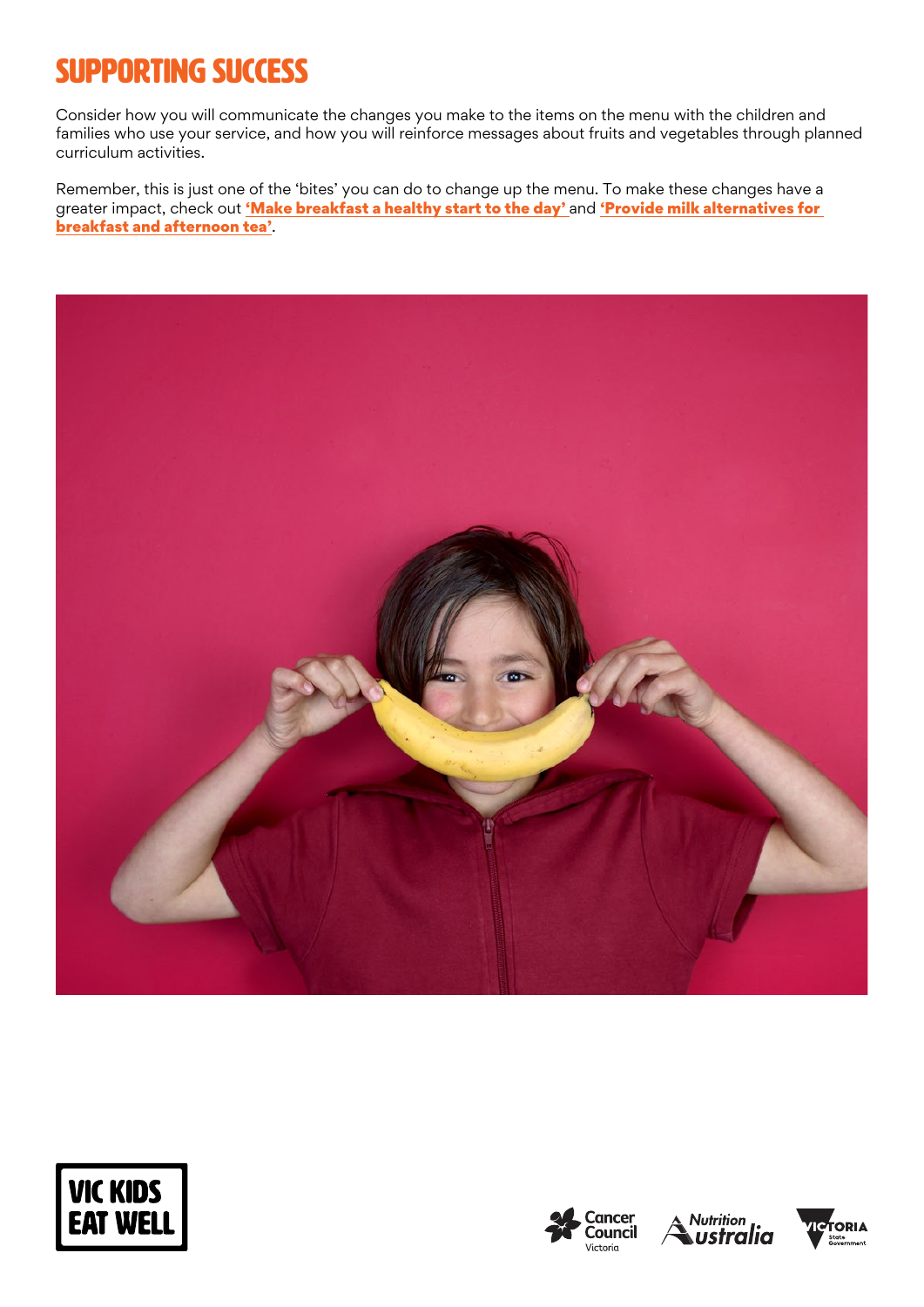## SUPPORTING SUCCESS

Consider how you will communicate the changes you make to the items on the menu with the children and families who use your service, and how you will reinforce messages about fruits and vegetables through planned curriculum activities.

Remember, this is just one of the 'bites' you can do to change up the menu. To make these changes have a greater impact, check out ['Make breakfast a healthy start to the day'](https://www.vickidseatwell.health.vic.gov.au/resources) and 'Provide milk alternatives for [breakfast and afternoon tea](https://www.vickidseatwell.health.vic.gov.au/resources)'.